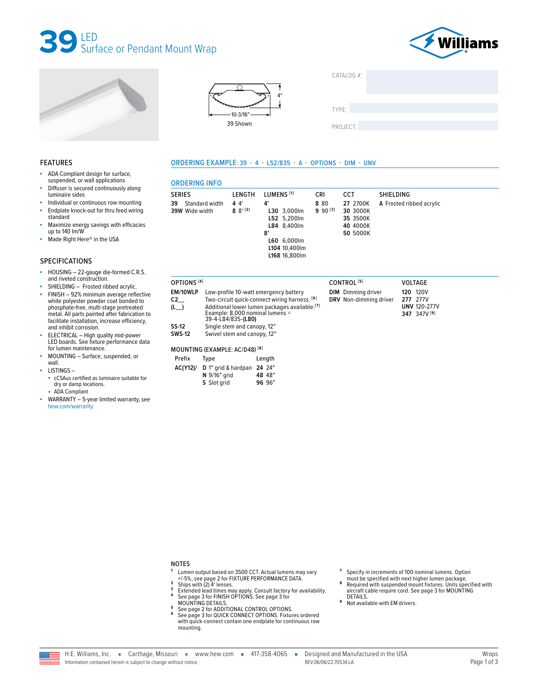







ORDERING EXAMPLE: 39 - 4 - L52/835 - A - OPTIONS - DIM - UNV

| CATALOG $#$ : |  |
|---------------|--|
|               |  |

TYPE:

PROJECT:

#### **FEATURES**

- ä, ADA Compliant design for surface, suspended, or wall applications
- Diffuser is secured continuously along luminaire sides
- Individual or continuous row mounting
- à. Endplate knock-out for thru feed wiring standard
- Maximize energy savings with efficacies up to 140 lm/W
- Made Right Here® in the USA à.

#### **SPECIFICATIONS**

- HOUSING 22-gauge die-formed C.R.S. à, and riveted construction.
- SHIELDING Frosted ribbed acrylic.
- FINISH 92% minimum average reflective white polyester powder coat bonded to phosphate-free, multi-stage pretreated metal. All parts painted after fabrication to<br>facilitate installation, increase efficiency, and inhibit corrosion.
- ELECTRICAL High quality mid-power<br>LED boards. See fixture performance data ×. for lumen maintenance.
- MOUNTING Surface, suspended, or ä. wall
- LISTINGS
	- cCSAus certified as luminaire suitable for dry or damp locations.
	- ADA Compliant
- WARRANTY 5-year limited warranty, see × hew.com/warranty.

| <b>SERIES</b>                          | LENGTH              | LUMENS <sup>[1]</sup>                                                                                  | <b>CRI</b>           | <b>CCT</b>                                               | SHIELDING                |
|----------------------------------------|---------------------|--------------------------------------------------------------------------------------------------------|----------------------|----------------------------------------------------------|--------------------------|
| 39<br>Standard width<br>39W Wide width | 44'<br>$8^{9^{12}}$ | 4'<br>L30 3,000lm<br>L52 5,200lm<br>L84 8,400lm<br>8'<br>L60 6,000lm<br>L104 10,400lm<br>L168 16,800lm | 8 8 0<br>$990^{[3]}$ | 27 2700K<br>30 3000K<br>35 3500K<br>40 4000K<br>50 5000K | A Frosted ribbed acrylic |

| OPTIONS <sup>[4]</sup>      |                                                            |                                                                                                                                                     | CONTROL <sup>[5]</sup>                              | <b>VOLTAGE</b>                                                               |
|-----------------------------|------------------------------------------------------------|-----------------------------------------------------------------------------------------------------------------------------------------------------|-----------------------------------------------------|------------------------------------------------------------------------------|
| EM/10WLP<br>C2<br>$(L_{-})$ | Example: 8,000 nominal lumens =<br>39-4-L84/835-(L80)      | Low-profile 10-watt emergency battery<br>Two-circuit quick-connect wiring harness. [6]<br>Additional lower lumen packages available. <sup>[7]</sup> | <b>DIM</b> Dimming driver<br>DRV Non-dimming driver | 120V<br>120<br>277V<br>277<br><b>UNV 120-277V</b><br>347 347V <sup>[9]</sup> |
| SS-12<br><b>SWS-12</b>      | Single stem and canopy, 12"<br>Swivel stem and canopy, 12" |                                                                                                                                                     |                                                     |                                                                              |
|                             | MOUNTING (EXAMPLE: AC/D48) <sup>[8]</sup>                  |                                                                                                                                                     |                                                     |                                                                              |
| Prefix                      | Type                                                       | Length                                                                                                                                              |                                                     |                                                                              |
| AC(Y12)/                    | D 1" grid & hardpan 24 24"<br>N 9/16" grid<br>S Slot grid  | 48 48"<br>96 96"                                                                                                                                    |                                                     |                                                                              |

**NOTES** 

 $\overline{5}$ 

- 
- $\mathbf 2$
- The other based on 3500 CCT. Actual lumens may vary<br>
L-15%, see page 2 for FIXTURE PERFORMANCE DATA.<br>
Ships with (2) 4' lenses.<br>
Extended lead times may apply. Consult factory for availability.<br>
See page 3 for FINISH OPTIO  $\overline{\mathbf{3}}$  $\pmb{4}$ 
	-
- MOUNTING DETAILS.<br>See page 2 for ADDITIONAL CONTROL OPTIONS.<br>See page 2 for ADDITIONAL CONTROL OPTIONS.<br>See page 3 for QUICK CONNECT OPTIONS. Fixtures ordered 6 with quick-connect contain one endplate for continuous row mounting.
- $\overline{\mathbf{z}}$ Specify in increments of 100 nominal lumens. Option
- Specified with next higher lumen package.<br>
Required with suspended mount fixtures. Units specified with 8 aircraft cable require cord. See page 3 for MOUNTING DETAILS.
- 9 Not available with EM drivers.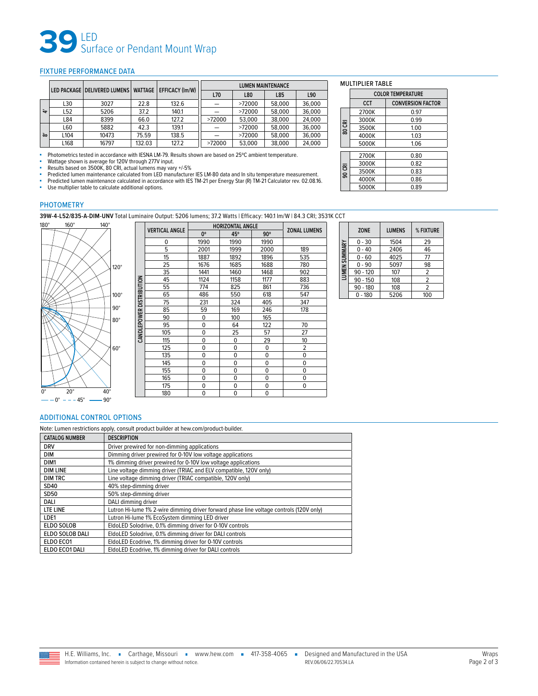# **39** LED Surface or Pendant Mount Wrap

#### <span id="page-1-0"></span>FIXTURE PERFORMANCE DATA

|    |                  |       |        |       |        | EFFICACY (Im/W)<br><b>WATTAGE</b><br>LED PACKAGE   DELIVERED LUMENS |        |        | <b>LUMEN MAINTENANCE</b> |  |  |  |
|----|------------------|-------|--------|-------|--------|---------------------------------------------------------------------|--------|--------|--------------------------|--|--|--|
|    |                  |       |        |       | L70    | L80                                                                 | L85    | L90    |                          |  |  |  |
|    | L30              | 3027  | 22.8   | 132.6 |        | >72000                                                              | 58,000 | 36,000 |                          |  |  |  |
| ੇ  | L52              | 5206  | 37.2   | 140.1 |        | >72000                                                              | 58,000 | 36,000 |                          |  |  |  |
|    | L84              | 8399  | 66.0   | 127.2 | >72000 | 53,000                                                              | 38,000 | 24.000 |                          |  |  |  |
|    | L60              | 5882  | 42.3   | 139.1 |        | >72000                                                              | 58,000 | 36.000 |                          |  |  |  |
| òo | L <sub>104</sub> | 10473 | 75.59  | 138.5 |        | >72000                                                              | 58,000 | 36.000 |                          |  |  |  |
|    | L168             | 16797 | 132.03 | 127.2 | >72000 | 53,000                                                              | 38.000 | 24.000 |                          |  |  |  |

■ Photometrics tested in accordance with IESNA LM-79. Results shown are based on 25°C ambient temperature.

■ Wattage shown is average for 120V through 277V input.<br>■ Results based on 3500K, 80 CRI, actual lumens may vary +/-5%<br>■ Predicted lumen maintenance calculated from LED manufacturer IES LM-80 data and In situ temperature

■ Predicted lumen maintenance calculated in accordance with IES TM-21 per Energy Star (R) TM-21 Calculator rev. 02.08.16.<br>■ Lise multiplier table to calculate additional options

Use multiplier table to calculate additional options.

### PHOTOMETRY

**39W-4-L52/835-A-DIM-UNV** Total Luminaire Output: 5206 lumens; 37.2 Watts | Efficacy: 140.1 lm/W | 84.3 CRI; 3531K CCT



|                          |                       |             | <b>HORIZONTAL ANGLE</b> |            |                     |
|--------------------------|-----------------------|-------------|-------------------------|------------|---------------------|
|                          | <b>VERTICAL ANGLE</b> | 0°          | 45°                     | $90^\circ$ | <b>ZONAL LUMENS</b> |
|                          | 0                     | 1990        | 1990                    | 1990       |                     |
|                          | 5                     | 2001        | 1999                    | 2000       | 189                 |
|                          | 15                    | 1887        | 1892                    | 1896       | 535                 |
|                          | 25                    | 1676        | 1685                    | 1688       | 780                 |
|                          | 35                    | 1441        | 1460                    | 1468       | 902                 |
|                          | 45                    | 1124        | 1158                    | 1177       | 883                 |
|                          | 55                    | 774         | 825                     | 861        | 736                 |
| CANDLEPOWER DISTRIBUTION | 65                    | 486         | 550                     | 618        | 547                 |
|                          | 75                    | 231         | 324                     | 405        | 347                 |
|                          | 85                    | 59          | 169                     | 246        | 178                 |
|                          | 90                    | 0           | 100                     | 165        |                     |
|                          | 95                    | 0           | 64                      | 122        | 70                  |
|                          | 105                   | 0           | 25                      | 57         | 27                  |
|                          | 115                   | $\mathbf 0$ | 0                       | 29         | 10                  |
|                          | 125                   | 0           | 0                       | 0          | $\overline{2}$      |
|                          | 135                   | 0           | 0                       | 0          | $\mathbf 0$         |
|                          | 145                   | 0           | 0                       | 0          | 0                   |
|                          | 155                   | 0           | 0                       | 0          | 0                   |
|                          | 165                   | 0           | 0                       | 0          | 0                   |
|                          | 175                   | $\mathbf 0$ | 0                       | 0          | $\mathbf 0$         |
|                          | 180                   | $\mathbf 0$ | 0                       | 0          |                     |

|               |            | <b>ZONE</b> | <b>LUMENS</b>  | % FIXTURE      |
|---------------|------------|-------------|----------------|----------------|
|               |            | $0 - 30$    | 1504           | 29             |
| LUMEN SUMMARY |            | $0 - 40$    | 2406           | 46             |
|               | $0 - 60$   | 4025        | 77             |                |
|               | $0 - 90$   | 5097        | 98             |                |
|               |            | $90 - 120$  | 107            | $\overline{2}$ |
|               | $90 - 150$ | 108         | $\overline{2}$ |                |
|               | $90 - 180$ | 108         | 2              |                |
|               |            | $0 - 180$   | 5206           | 100            |

#### <span id="page-1-1"></span>ADDITIONAL CONTROL OPTIONS

Note: Lumen restrictions apply, consult product builder at hew.com/product-builder.

| <b>CATALOG NUMBER</b> | <b>DESCRIPTION</b>                                                                      |
|-----------------------|-----------------------------------------------------------------------------------------|
| <b>DRV</b>            | Driver prewired for non-dimming applications                                            |
| <b>DIM</b>            | Dimming driver prewired for 0-10V low voltage applications                              |
| DIM1                  | 1% dimming driver prewired for 0-10V low voltage applications                           |
| <b>DIM LINE</b>       | Line voltage dimming driver (TRIAC and ELV compatible, 120V only)                       |
| <b>DIM TRC</b>        | Line voltage dimming driver (TRIAC compatible, 120V only)                               |
| SD40                  | 40% step-dimming driver                                                                 |
| SD50                  | 50% step-dimming driver                                                                 |
| <b>DALI</b>           | DALI dimming driver                                                                     |
| LTE LINE              | Lutron Hi-lume 1% 2-wire dimming driver forward phase line voltage controls (120V only) |
| LDE1                  | Lutron Hi-lume 1% EcoSystem dimming LED driver                                          |
| <b>ELDO SOLOB</b>     | EldoLED Solodrive, 0.1% dimming driver for 0-10V controls                               |
| ELDO SOLOB DALI       | EldoLED Solodrive, 0.1% dimming driver for DALI controls                                |
| ELDO ECO1             | EldoLED Ecodrive, 1% dimming driver for 0-10V controls                                  |
| ELDO ECO1 DALI        | EldoLED Ecodrive, 1% dimming driver for DALI controls                                   |
|                       |                                                                                         |

|        | <b> LILI\ IMDLL</b>      |                          |  |  |  |  |  |
|--------|--------------------------|--------------------------|--|--|--|--|--|
|        | <b>COLOR TEMPERATURE</b> |                          |  |  |  |  |  |
|        | <b>CCT</b>               | <b>CONVERSION FACTOR</b> |  |  |  |  |  |
|        | 2700K                    | 0.97                     |  |  |  |  |  |
|        | 3000K                    | 0.99                     |  |  |  |  |  |
| 80 CRI | 3500K                    | 1.00                     |  |  |  |  |  |
|        | 4000K                    | 1.03                     |  |  |  |  |  |
|        | 5000K                    | 1.06                     |  |  |  |  |  |
|        |                          |                          |  |  |  |  |  |
|        | 2700K                    | 0.80                     |  |  |  |  |  |
|        | 3000K                    | 0.82                     |  |  |  |  |  |
| 90 CRI | 3500K                    | 0.83                     |  |  |  |  |  |
|        | 4000K                    | 0.86                     |  |  |  |  |  |
|        | 5000K                    | 0.89                     |  |  |  |  |  |